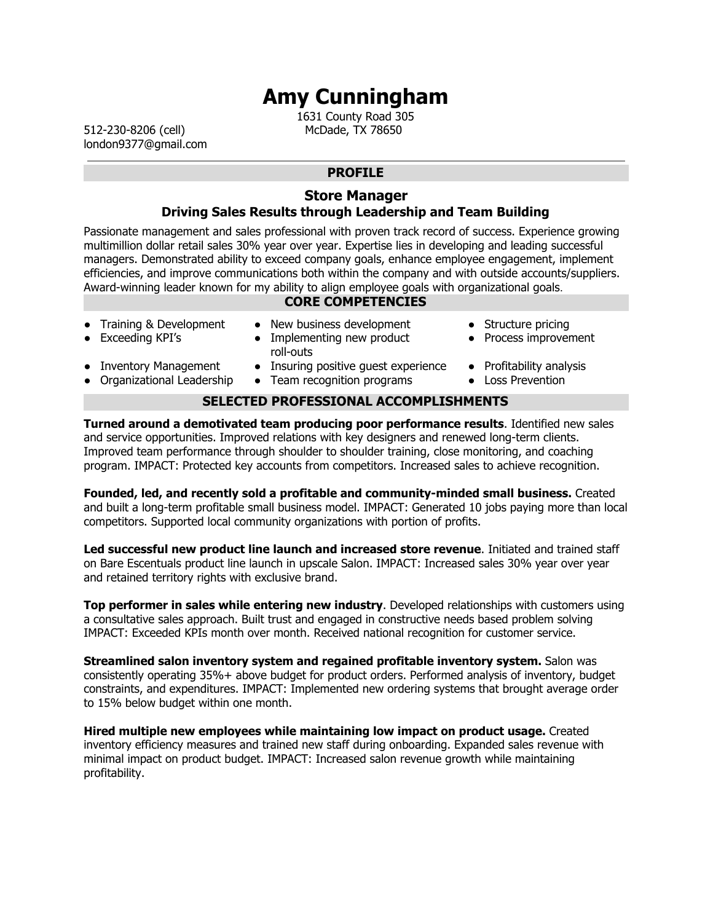# **Amy Cunningham**

512-230-8206 (cell) McDade, TX 78650 london9377@gmail.com

1631 County Road 305

### **PROFILE**

#### **Store Manager Driving Sales Results through Leadership and Team Building**

Passionate management and sales professional with proven track record of success. Experience growing multimillion dollar retail sales 30% year over year. Expertise lies in developing and leading successful managers. Demonstrated ability to exceed company goals, enhance employee engagement, implement efficiencies, and improve communications both within the company and with outside accounts/suppliers. Award-winning leader known for my ability to align employee goals with organizational goals.

#### **CORE COMPETENCIES**

- Training & Development New business development Structure pricing
- 
- Exceeding KPI's Implementing new product roll-outs
- 
- Process improvement
- 
- 

## **SELECTED PROFESSIONAL ACCOMPLISHMENTS**

**Turned around a demotivated team producing poor performance results**. Identified new sales and service opportunities. Improved relations with key designers and renewed long-term clients. Improved team performance through shoulder to shoulder training, close monitoring, and coaching program. IMPACT: Protected key accounts from competitors. Increased sales to achieve recognition.

**Founded, led, and recently sold a profitable and community-minded small business.** Created and built a long-term profitable small business model. IMPACT: Generated 10 jobs paying more than local competitors. Supported local community organizations with portion of profits.

**Led successful new product line launch and increased store revenue**. Initiated and trained staff on Bare Escentuals product line launch in upscale Salon. IMPACT: Increased sales 30% year over year and retained territory rights with exclusive brand.

**Top performer in sales while entering new industry**. Developed relationships with customers using a consultative sales approach. Built trust and engaged in constructive needs based problem solving IMPACT: Exceeded KPIs month over month. Received national recognition for customer service.

**Streamlined salon inventory system and regained profitable inventory system.** Salon was consistently operating 35%+ above budget for product orders. Performed analysis of inventory, budget constraints, and expenditures. IMPACT: Implemented new ordering systems that brought average order to 15% below budget within one month.

**Hired multiple new employees while maintaining low impact on product usage.** Created inventory efficiency measures and trained new staff during onboarding. Expanded sales revenue with minimal impact on product budget. IMPACT: Increased salon revenue growth while maintaining profitability.

• Inventory Management • Insuring positive quest experience • Profitability analysis

● Organizational Leadership ● Team recognition programs ● Loss Prevention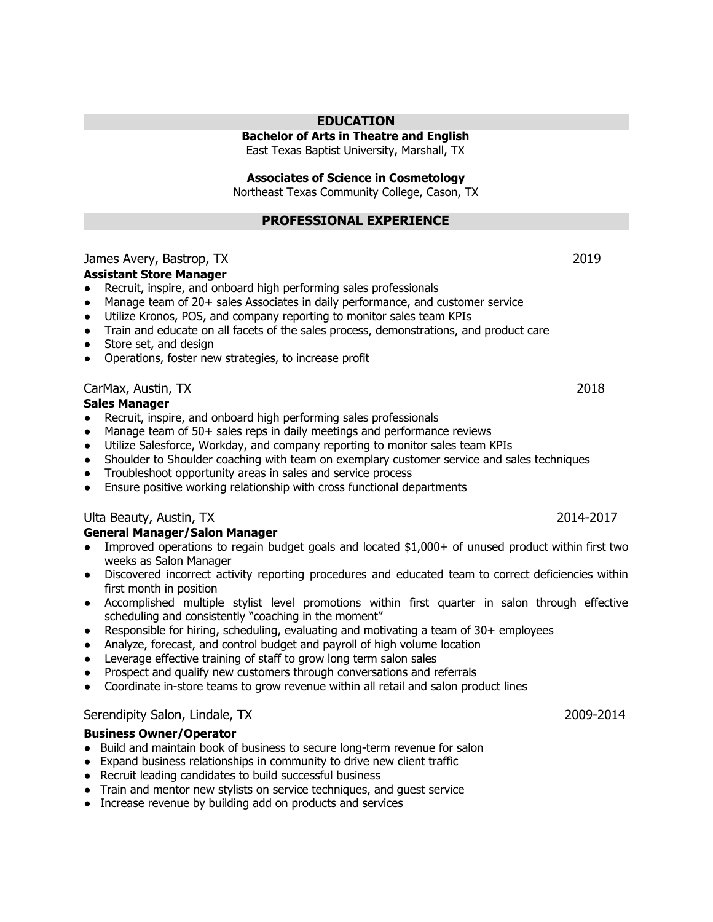#### **EDUCATION**

**Bachelor of Arts in Theatre and English**

East Texas Baptist University, Marshall, TX

**Associates of Science in Cosmetology**

Northeast Texas Community College, Cason, TX

#### **PROFESSIONAL EXPERIENCE**

#### James Avery, Bastrop, TX 2019

#### **Assistant Store Manager**

- Recruit, inspire, and onboard high performing sales professionals
- Manage team of 20+ sales Associates in daily performance, and customer service
- Utilize Kronos, POS, and company reporting to monitor sales team KPIs
- Train and educate on all facets of the sales process, demonstrations, and product care
- Store set, and design
- Operations, foster new strategies, to increase profit

#### CarMax, Austin, TX 2018

#### **Sales Manager**

- Recruit, inspire, and onboard high performing sales professionals
- Manage team of 50+ sales reps in daily meetings and performance reviews
- Utilize Salesforce, Workday, and company reporting to monitor sales team KPIs
- Shoulder to Shoulder coaching with team on exemplary customer service and sales techniques
- Troubleshoot opportunity areas in sales and service process
- Ensure positive working relationship with cross functional departments

#### Ulta Beauty, Austin, TX 2014-2017

#### **General Manager/Salon Manager**

- Improved operations to regain budget goals and located \$1,000+ of unused product within first two weeks as Salon Manager
- Discovered incorrect activity reporting procedures and educated team to correct deficiencies within first month in position
- Accomplished multiple stylist level promotions within first quarter in salon through effective scheduling and consistently "coaching in the moment"
- $\bullet$  Responsible for hiring, scheduling, evaluating and motivating a team of 30+ employees
- Analyze, forecast, and control budget and payroll of high volume location
- Leverage effective training of staff to grow long term salon sales
- Prospect and qualify new customers through conversations and referrals
- Coordinate in-store teams to grow revenue within all retail and salon product lines

#### Serendipity Salon, Lindale, TX 2009-2014

#### **Business Owner/Operator**

- Build and maintain book of business to secure long-term revenue for salon
- Expand business relationships in community to drive new client traffic
- Recruit leading candidates to build successful business
- Train and mentor new stylists on service techniques, and guest service
- Increase revenue by building add on products and services